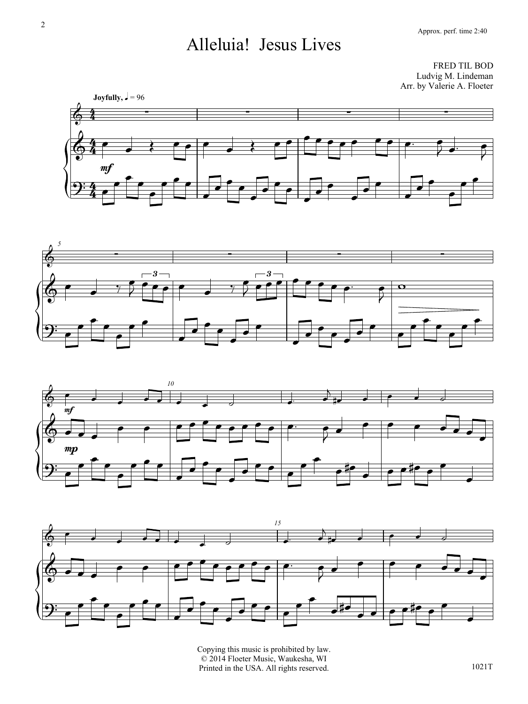## Alleluia! Jesus Lives

FRED TIL BOD Ludvig M. Lindeman Arr. by Valerie A. Floeter









Copying this music is prohibited by law. © 2014 Floeter Music, Waukesha, WI Printed in the USA. All rights reserved.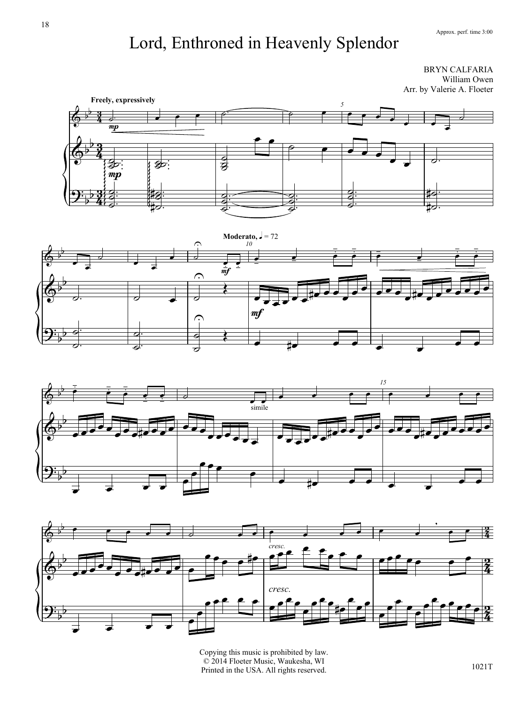## Lord, Enthroned in Heavenly Splendor

BRYN CALFARIA William Owen Arr. by Valerie A. Floeter









Copying this music is prohibited by law. © 2014 Floeter Music, Waukesha, WI Printed in the USA. All rights reserved.